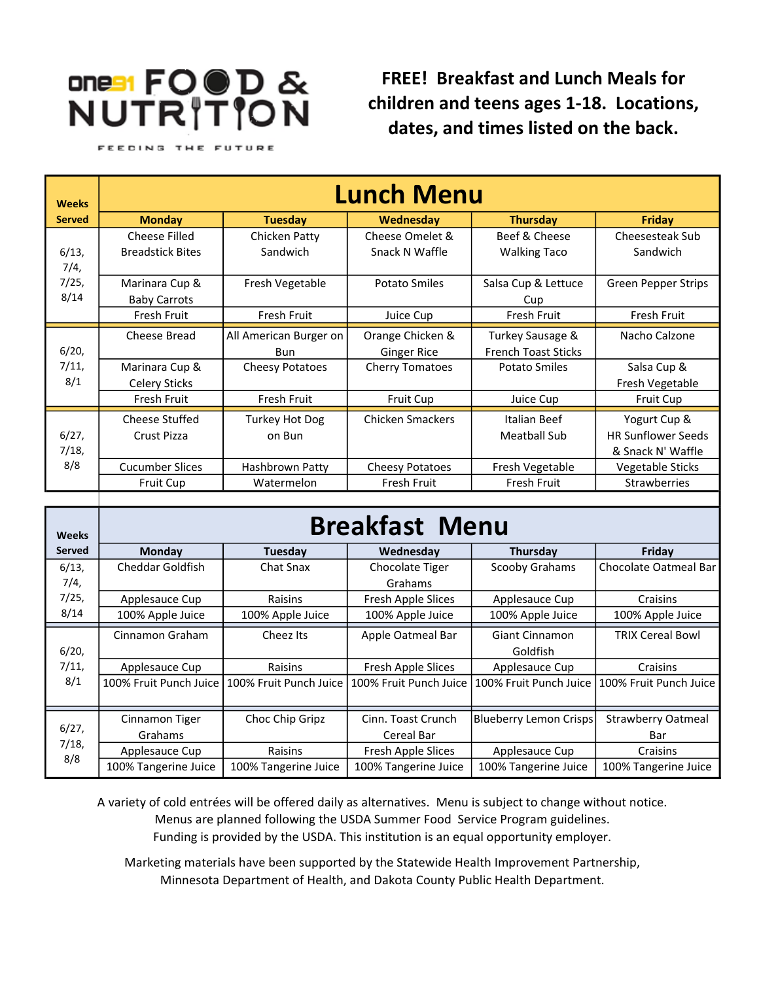

FREE! Breakfast and Lunch Meals for children and teens ages 1-18. Locations, dates, and times listed on the back.

FEEDING THE FUTURE

| <b>Weeks</b>   | <b>Lunch Menu</b>       |                        |                         |                            |                           |  |
|----------------|-------------------------|------------------------|-------------------------|----------------------------|---------------------------|--|
| <b>Served</b>  | <b>Monday</b>           | <b>Tuesday</b>         | Wednesday               | <b>Thursday</b>            | Friday                    |  |
|                | Cheese Filled           | Chicken Patty          | Cheese Omelet &         | Beef & Cheese              | Cheesesteak Sub           |  |
| 6/13,          | <b>Breadstick Bites</b> | Sandwich               | Snack N Waffle          | <b>Walking Taco</b>        | Sandwich                  |  |
| 7/4,           |                         |                        |                         |                            |                           |  |
| 7/25,          | Marinara Cup &          | Fresh Vegetable        | <b>Potato Smiles</b>    | Salsa Cup & Lettuce        | Green Pepper Strips       |  |
| 8/14           | <b>Baby Carrots</b>     |                        |                         | Cup                        |                           |  |
|                | <b>Fresh Fruit</b>      | Fresh Fruit            | Juice Cup               | Fresh Fruit                | <b>Fresh Fruit</b>        |  |
|                | Cheese Bread            | All American Burger on | Orange Chicken &        | Turkey Sausage &           | Nacho Calzone             |  |
| 6/20,          |                         | <b>Bun</b>             | <b>Ginger Rice</b>      | <b>French Toast Sticks</b> |                           |  |
| 7/11,          | Marinara Cup &          | <b>Cheesy Potatoes</b> | <b>Cherry Tomatoes</b>  | <b>Potato Smiles</b>       | Salsa Cup &               |  |
| 8/1            | Celery Sticks           |                        |                         |                            | Fresh Vegetable           |  |
|                | <b>Fresh Fruit</b>      | Fresh Fruit            | Fruit Cup               | Juice Cup                  | <b>Fruit Cup</b>          |  |
|                | <b>Cheese Stuffed</b>   | <b>Turkey Hot Dog</b>  | <b>Chicken Smackers</b> | Italian Beef               | Yogurt Cup &              |  |
| 6/27,<br>7/18, | Crust Pizza             | on Bun                 |                         | <b>Meatball Sub</b>        | <b>HR Sunflower Seeds</b> |  |
|                |                         |                        |                         |                            | & Snack N' Waffle         |  |
| 8/8            | <b>Cucumber Slices</b>  | Hashbrown Patty        | <b>Cheesy Potatoes</b>  | Fresh Vegetable            | Vegetable Sticks          |  |
|                | <b>Fruit Cup</b>        | Watermelon             | <b>Fresh Fruit</b>      | Fresh Fruit                | <b>Strawberries</b>       |  |
|                |                         |                        |                         |                            |                           |  |

| <b>Weeks</b> | <b>Breakfast Menu</b>  |                          |                        |                        |                                                 |  |
|--------------|------------------------|--------------------------|------------------------|------------------------|-------------------------------------------------|--|
| Served       | <b>Monday</b>          | Tuesday                  | Wednesday              | <b>Thursday</b>        | Friday                                          |  |
| 6/13,        | Cheddar Goldfish       | Chat Snax                | Chocolate Tiger        | Scooby Grahams         | Chocolate Oatmeal Bar                           |  |
| 7/4,         |                        |                          | Grahams                |                        |                                                 |  |
| 7/25,        | Applesauce Cup         | Raisins                  | Fresh Apple Slices     | Applesauce Cup         | Craisins                                        |  |
| 8/14         | 100% Apple Juice       | 100% Apple Juice         | 100% Apple Juice       | 100% Apple Juice       | 100% Apple Juice                                |  |
|              | Cinnamon Graham        | Cheez Its                | Apple Oatmeal Bar      | <b>Giant Cinnamon</b>  | <b>TRIX Cereal Bowl</b>                         |  |
| 6/20,        |                        |                          |                        | Goldfish               |                                                 |  |
| 7/11,        | Applesauce Cup         | <b>Raisins</b>           | Fresh Apple Slices     | Applesauce Cup         | Craisins                                        |  |
| 8/1          | 100% Fruit Punch Juice | 100% Fruit Punch Juice I | 100% Fruit Punch Juice |                        | 100% Fruit Punch Juice   100% Fruit Punch Juice |  |
|              |                        |                          |                        |                        |                                                 |  |
|              | Cinnamon Tiger         | Choc Chip Gripz          | Cinn. Toast Crunch     | Blueberry Lemon Crisps | <b>Strawberry Oatmeal</b>                       |  |
| 6/27,        | Grahams                |                          | Cereal Bar             |                        | Bar                                             |  |
| 7/18,        | Applesauce Cup         | <b>Raisins</b>           | Fresh Apple Slices     | Applesauce Cup         | Craisins                                        |  |
| 8/8          | 100% Tangerine Juice   | 100% Tangerine Juice     | 100% Tangerine Juice   | 100% Tangerine Juice   | 100% Tangerine Juice                            |  |

A variety of cold entrées will be offered daily as alternatives. Menu is subject to change without notice. Menus are planned following the USDA Summer Food Service Program guidelines. Funding is provided by the USDA. This institution is an equal opportunity employer.

Marketing materials have been supported by the Statewide Health Improvement Partnership, Minnesota Department of Health, and Dakota County Public Health Department.